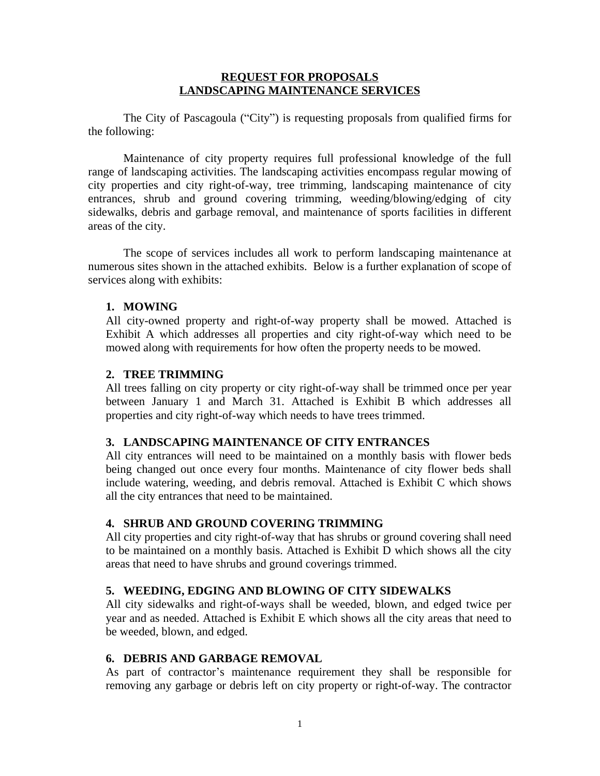#### **REQUEST FOR PROPOSALS LANDSCAPING MAINTENANCE SERVICES**

The City of Pascagoula ("City") is requesting proposals from qualified firms for the following:

Maintenance of city property requires full professional knowledge of the full range of landscaping activities. The landscaping activities encompass regular mowing of city properties and city right-of-way, tree trimming, landscaping maintenance of city entrances, shrub and ground covering trimming, weeding/blowing/edging of city sidewalks, debris and garbage removal, and maintenance of sports facilities in different areas of the city.

The scope of services includes all work to perform landscaping maintenance at numerous sites shown in the attached exhibits. Below is a further explanation of scope of services along with exhibits:

# **1. MOWING**

All city-owned property and right-of-way property shall be mowed. Attached is Exhibit A which addresses all properties and city right-of-way which need to be mowed along with requirements for how often the property needs to be mowed.

## **2. TREE TRIMMING**

All trees falling on city property or city right-of-way shall be trimmed once per year between January 1 and March 31. Attached is Exhibit B which addresses all properties and city right-of-way which needs to have trees trimmed.

## **3. LANDSCAPING MAINTENANCE OF CITY ENTRANCES**

All city entrances will need to be maintained on a monthly basis with flower beds being changed out once every four months. Maintenance of city flower beds shall include watering, weeding, and debris removal. Attached is Exhibit C which shows all the city entrances that need to be maintained.

## **4. SHRUB AND GROUND COVERING TRIMMING**

All city properties and city right-of-way that has shrubs or ground covering shall need to be maintained on a monthly basis. Attached is Exhibit D which shows all the city areas that need to have shrubs and ground coverings trimmed.

## **5. WEEDING, EDGING AND BLOWING OF CITY SIDEWALKS**

All city sidewalks and right-of-ways shall be weeded, blown, and edged twice per year and as needed. Attached is Exhibit E which shows all the city areas that need to be weeded, blown, and edged.

# **6. DEBRIS AND GARBAGE REMOVAL**

As part of contractor's maintenance requirement they shall be responsible for removing any garbage or debris left on city property or right-of-way. The contractor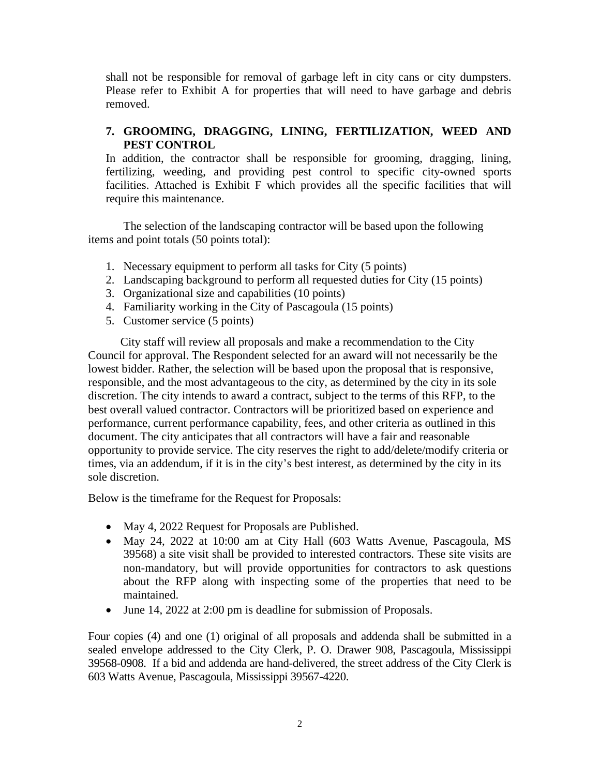shall not be responsible for removal of garbage left in city cans or city dumpsters. Please refer to Exhibit A for properties that will need to have garbage and debris removed.

# **7. GROOMING, DRAGGING, LINING, FERTILIZATION, WEED AND PEST CONTROL**

In addition, the contractor shall be responsible for grooming, dragging, lining, fertilizing, weeding, and providing pest control to specific city-owned sports facilities. Attached is Exhibit F which provides all the specific facilities that will require this maintenance.

 The selection of the landscaping contractor will be based upon the following items and point totals (50 points total):

- 1. Necessary equipment to perform all tasks for City (5 points)
- 2. Landscaping background to perform all requested duties for City (15 points)
- 3. Organizational size and capabilities (10 points)
- 4. Familiarity working in the City of Pascagoula (15 points)
- 5. Customer service (5 points)

 City staff will review all proposals and make a recommendation to the City Council for approval. The Respondent selected for an award will not necessarily be the lowest bidder. Rather, the selection will be based upon the proposal that is responsive, responsible, and the most advantageous to the city, as determined by the city in its sole discretion. The city intends to award a contract, subject to the terms of this RFP, to the best overall valued contractor. Contractors will be prioritized based on experience and performance, current performance capability, fees, and other criteria as outlined in this document. The city anticipates that all contractors will have a fair and reasonable opportunity to provide service. The city reserves the right to add/delete/modify criteria or times, via an addendum, if it is in the city's best interest, as determined by the city in its sole discretion.

Below is the timeframe for the Request for Proposals:

- May 4, 2022 Request for Proposals are Published.
- May 24, 2022 at 10:00 am at City Hall (603 Watts Avenue, Pascagoula, MS 39568) a site visit shall be provided to interested contractors. These site visits are non-mandatory, but will provide opportunities for contractors to ask questions about the RFP along with inspecting some of the properties that need to be maintained.
- June 14, 2022 at 2:00 pm is deadline for submission of Proposals.

Four copies (4) and one (1) original of all proposals and addenda shall be submitted in a sealed envelope addressed to the City Clerk, P. O. Drawer 908, Pascagoula, Mississippi 39568-0908. If a bid and addenda are hand-delivered, the street address of the City Clerk is 603 Watts Avenue, Pascagoula, Mississippi 39567-4220.